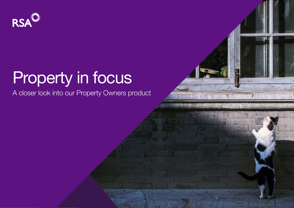

# Property in focus

A closer look into our Property Owners product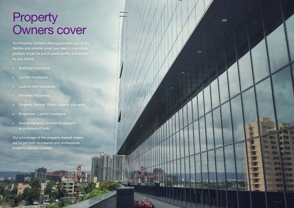### **Property** Owners cover

 $\tilde{\phantom{a}}$ 

Property of the Contract of the Contract of the Contract of the Contract of the Contract of the Contract of the Contract of the Contract of the Contract of the Contract of the Contract of the Contract of the Contract of th

Our Property Owners offering provides you all the flexible and reliable cover you need in one single product. It can be put in place swiftly and simply by you online:

- Buildings Insurance
- Content Insurance
- Loss of Rent Insurance
- Terrorism Insurance
- Property Owners' Public Liability Insurance
- Employers' Liability Insurance
- Residential and commercial property or a mixture of both

Our knowledge of the property market means we've got both accidental and professional property owners covered.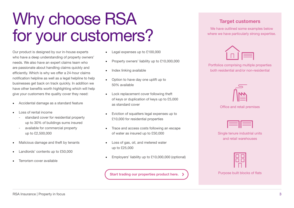### for your customers? Our product is designed by our in-house experts who have a deep understanding of property owners' needs. We also have an expert claims team who

Why choose RSA

are passionate about handling claims quickly and efficiently. Which is why we offer a 24-hour claims notification helpline as well as a legal helpline to help businesses get back on track quickly. In addition we have other benefits worth highlighting which will help give your customers the quality cover they need:

- Accidental damage as a standard feature
- Loss of rental income
	- standard cover for residential property up to 30% of buildings sums insured
	- available for commercial property up to £2,500,000
- Malicious damage and theft by tenants
- Landlords' contents up to £50,000
- Terrorism cover available
- Legal expenses up to £100.000
- Property owners' liability up to £10,000,000
- Index linking available
- Option to have day one uplift up to 50% available
- Lock replacement cover following theft of keys or duplication of keys up to £5,000 as standard cover
- Eviction of squatters legal expenses up to £10,000 for residential properties
- Trace and access costs following an escape of water as insured up to £50,000
- Loss of gas, oil, and metered water up to £25,000
- Employers' liability up to £10,000,000 (optional)

Start trading our properties product here.

#### Target customers

We have outlined some examples below where we have particularly strong expertise.



Portfolios comprising multiple properties both residential and/or non-residential



Office and retail premises

Single tenure industrial units and retail warehouses



Purpose built blocks of flats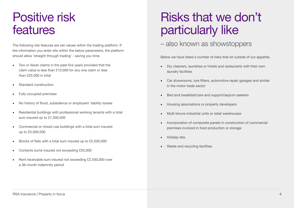### Positive risk features

The following risk features are set values within the trading platform. If the information you enter sits within the below parameters, the platform should allow 'straight through trading' - saving you time.

- Two or fewer claims in the past five years provided that the claim value is less than £10,000 for any one claim or less than £25,000 in total
- Standard construction
- Fully occupied premises
- No history of flood, subsidence or employers' liability losses
- Residential buildings with professional working tenants with a total sum insured up to £1,500,000
- Commercial or mixed-use buildings with a total sum insured up to £5,000,000
- Blocks of flats with a total sum insured up to £2,500,000
- Contents sums insured not exceeding £50,000
- Rent receivable sum insured not exceeding £2,500,000 over a 36-month indemnity period

### Risks that we don't particularly like

#### – also known as showstoppers

Below we have listed a number of risks that sit outside of our appetite.

- Dry cleaners, laundries or hotels and restaurants with their own laundry facilities
- Car showrooms, tyre fitters, automotive repair garages and similar in the motor trade sector
- Bed and breakfast/care and support/asylum seekers
- Housing associations or property developers
- Multi tenure industrial units or retail warehouses
- Incorporation of composite panels in construction of commercial premises involved in food production or storage
- Holiday lets
- Waste and recycling facilities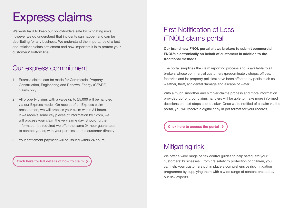## Express claims

We work hard to keep our policyholders safe by mitigating risks, however we do understand that incidents can happen and can be debilitating for any business. We understand the importance of a fast and efficient claims settlement and how important it is to protect your customers' bottom line.

#### Our express commitment

- 1. Express claims can be made for Commercial Property, Construction, Engineering and Renewal Energy (CE&RE) claims only
- 2. All property claims with a value up to £5,000 will be handled via our Express model. On receipt of an Express claim presentation, we will process your claim within 24 hours. If we receive some key pieces of information by 12pm, we will process your claim the very same day. Should further information be required we offer the same 24 hour guarantees to contact you or, with your permission, the customer directly
- 3. Your settlement payment will be issued within 24 hours

[Click here for full details of how to claim](https://www.rsainsurance.co.uk/media/j2ydikcd/rsa-claims-express-handling-up-to-5000-ukc05108c.pdf) >

### First Notification of Loss (FNOL) claims portal

Our brand new FNOL portal allows brokers to submit commercial FNOL's electronically on behalf of customers in addition to the traditional methods.

The portal simplifies the claim reporting process and is available to all brokers whose commercial customers (predominately shops, offices, factories and let property policies) have been affected by perils such as weather, theft, accidental damage and escape of water.

With a much smoother and simpler claims process and more information provided upfront, our claims handlers will be able to make more informed decisions on next steps a lot quicker. Once we're notified of a claim via the portal, you will receive a digital copy in pdf format for your records.

[Click here to access the portal](https://commercial-property-claims.rsabroker.com/rsa_commercial_property/claim/request/)

#### Mitigating risk

We offer a wide range of risk control guides to help safeguard your customers' businesses. From fire safety to protection of children, you can help your customers put in place a comprehensive risk mitigation programme by supplying them with a wide range of content created by our risk experts.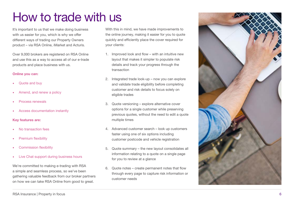## How to trade with us

It's important to us that we make doing business with us easier for you, which is why we offer different ways of trading our Property Owners product – via RSA Online, iMarket and Acturis.

Over 9,000 brokers are registered on RSA Online and use this as a way to access all of our e-trade products and place business with us.

#### Online you can:

- Quote and buy
- Amend, and renew a policy
- Process renewals
- Access documentation instantly

#### Key features are:

- No transaction fees
- Premium flexibility
- Commission flexibility
- Live Chat support during business hours

We're committed to making e-trading with RSA a simple and seamless process, so we've been gathering valuable feedback from our broker partners on how we can take RSA Online from good to great.

With this in mind, we have made improvements to the online journey, making it easier for you to quote quickly and efficiently place the cover required for your clients:

- 1. Improved look and flow with an intuitive new layout that makes it simpler to populate risk details and track your progress through the transaction
- 2. Integrated trade look-up now you can explore and validate trade eligibility before completing customer and risk details to focus solely on eligible trades
- 3. Quote versioning explore alternative cover options for a single customer while preserving previous quotes, without the need to edit a quote multiple times
- 4. Advanced customer search look up customers faster using one of six options including customer postcode and vehicle registration
- 5. Quote summary the new layout consolidates all information relating to a quote on a single page for you to review at a glance
- 6. Quote notes create permanent notes that flow through every page to capture risk information or customer needs